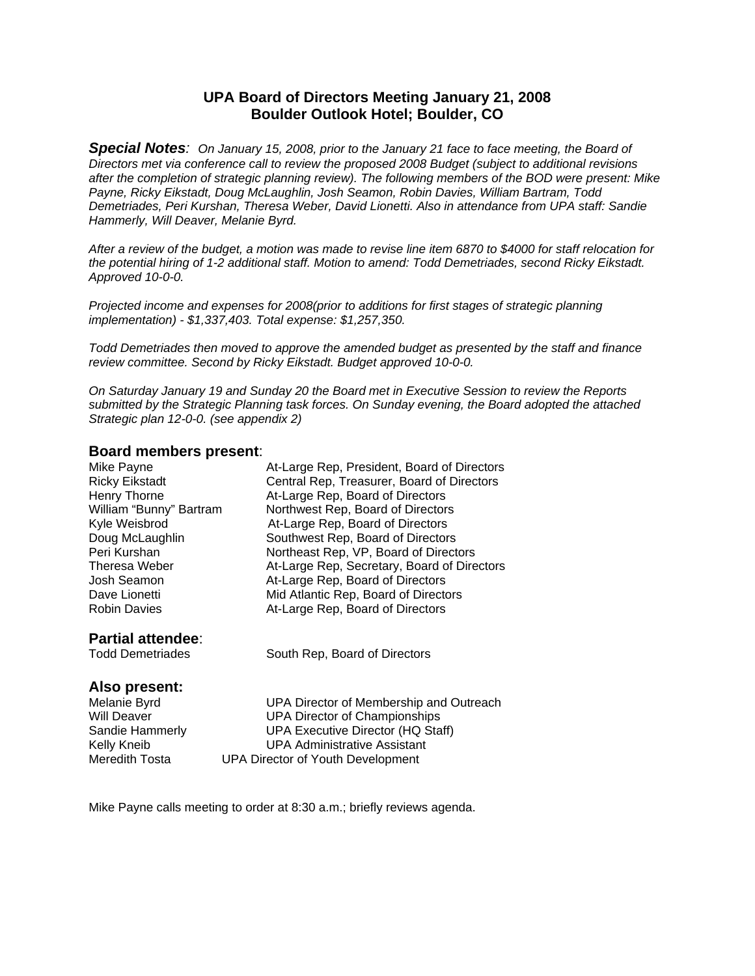## **UPA Board of Directors Meeting January 21, 2008 Boulder Outlook Hotel; Boulder, CO**

*Special Notes: On January 15, 2008, prior to the January 21 face to face meeting, the Board of Directors met via conference call to review the proposed 2008 Budget (subject to additional revisions after the completion of strategic planning review). The following members of the BOD were present: Mike Payne, Ricky Eikstadt, Doug McLaughlin, Josh Seamon, Robin Davies, William Bartram, Todd Demetriades, Peri Kurshan, Theresa Weber, David Lionetti. Also in attendance from UPA staff: Sandie Hammerly, Will Deaver, Melanie Byrd.* 

*After a review of the budget, a motion was made to revise line item 6870 to \$4000 for staff relocation for the potential hiring of 1-2 additional staff. Motion to amend: Todd Demetriades, second Ricky Eikstadt. Approved 10-0-0.* 

*Projected income and expenses for 2008(prior to additions for first stages of strategic planning implementation) - \$1,337,403. Total expense: \$1,257,350.* 

*Todd Demetriades then moved to approve the amended budget as presented by the staff and finance review committee. Second by Ricky Eikstadt. Budget approved 10-0-0.* 

*On Saturday January 19 and Sunday 20 the Board met in Executive Session to review the Reports submitted by the Strategic Planning task forces. On Sunday evening, the Board adopted the attached Strategic plan 12-0-0. (see appendix 2)* 

#### **Board members present**:

| DOGIU IIICIIINGI S PI GSCIII. |                                             |
|-------------------------------|---------------------------------------------|
| Mike Payne                    | At-Large Rep, President, Board of Directors |
| <b>Ricky Eikstadt</b>         | Central Rep, Treasurer, Board of Directors  |
| Henry Thorne                  | At-Large Rep, Board of Directors            |
| William "Bunny" Bartram       | Northwest Rep, Board of Directors           |
| Kyle Weisbrod                 | At-Large Rep, Board of Directors            |
| Doug McLaughlin               | Southwest Rep, Board of Directors           |
| Peri Kurshan                  | Northeast Rep, VP, Board of Directors       |
| Theresa Weber                 | At-Large Rep, Secretary, Board of Directors |
| Josh Seamon                   | At-Large Rep, Board of Directors            |
| Dave Lionetti                 | Mid Atlantic Rep, Board of Directors        |
| <b>Robin Davies</b>           | At-Large Rep, Board of Directors            |
| <b>Partial attendee:</b>      |                                             |
| <b>Todd Demetriades</b>       | South Rep, Board of Directors               |
| Also present:                 |                                             |
| Melanie Byrd                  | UPA Director of Membership and Outreach     |

Will Deaver **UPA Director of Championships**<br>
Sandie Hammerly **UPA Executive Director (HQ Sta** UPA Executive Director (HQ Staff) Kelly Kneib UPA Administrative Assistant Meredith Tosta UPA Director of Youth Development

Mike Payne calls meeting to order at 8:30 a.m.; briefly reviews agenda.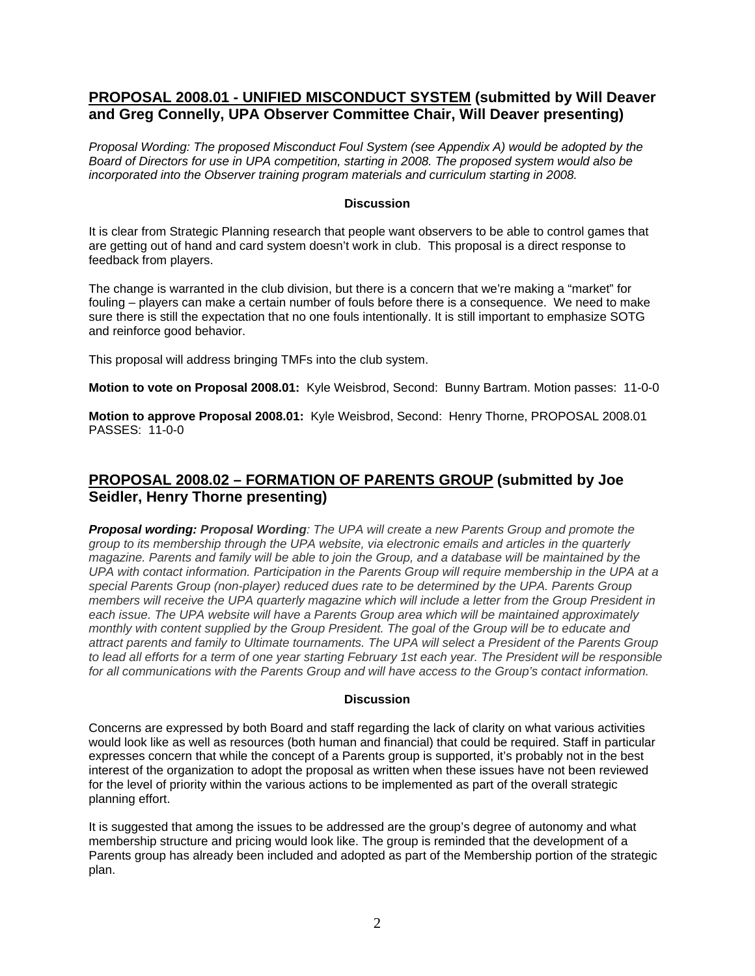## **PROPOSAL 2008.01 - UNIFIED MISCONDUCT SYSTEM (submitted by Will Deaver and Greg Connelly, UPA Observer Committee Chair, Will Deaver presenting)**

*Proposal Wording: The proposed Misconduct Foul System (see Appendix A) would be adopted by the Board of Directors for use in UPA competition, starting in 2008. The proposed system would also be incorporated into the Observer training program materials and curriculum starting in 2008.* 

## **Discussion**

It is clear from Strategic Planning research that people want observers to be able to control games that are getting out of hand and card system doesn't work in club. This proposal is a direct response to feedback from players.

The change is warranted in the club division, but there is a concern that we're making a "market" for fouling – players can make a certain number of fouls before there is a consequence. We need to make sure there is still the expectation that no one fouls intentionally. It is still important to emphasize SOTG and reinforce good behavior.

This proposal will address bringing TMFs into the club system.

**Motion to vote on Proposal 2008.01:** Kyle Weisbrod, Second: Bunny Bartram. Motion passes: 11-0-0

**Motion to approve Proposal 2008.01:** Kyle Weisbrod, Second: Henry Thorne, PROPOSAL 2008.01 PASSES: 11-0-0

## **PROPOSAL 2008.02 – FORMATION OF PARENTS GROUP (submitted by Joe Seidler, Henry Thorne presenting)**

*Proposal wording: Proposal Wording: The UPA will create a new Parents Group and promote the group to its membership through the UPA website, via electronic emails and articles in the quarterly magazine. Parents and family will be able to join the Group, and a database will be maintained by the UPA with contact information. Participation in the Parents Group will require membership in the UPA at a special Parents Group (non-player) reduced dues rate to be determined by the UPA. Parents Group members will receive the UPA quarterly magazine which will include a letter from the Group President in each issue. The UPA website will have a Parents Group area which will be maintained approximately monthly with content supplied by the Group President. The goal of the Group will be to educate and attract parents and family to Ultimate tournaments. The UPA will select a President of the Parents Group to lead all efforts for a term of one year starting February 1st each year. The President will be responsible for all communications with the Parents Group and will have access to the Group's contact information.*

#### **Discussion**

Concerns are expressed by both Board and staff regarding the lack of clarity on what various activities would look like as well as resources (both human and financial) that could be required. Staff in particular expresses concern that while the concept of a Parents group is supported, it's probably not in the best interest of the organization to adopt the proposal as written when these issues have not been reviewed for the level of priority within the various actions to be implemented as part of the overall strategic planning effort.

It is suggested that among the issues to be addressed are the group's degree of autonomy and what membership structure and pricing would look like. The group is reminded that the development of a Parents group has already been included and adopted as part of the Membership portion of the strategic plan.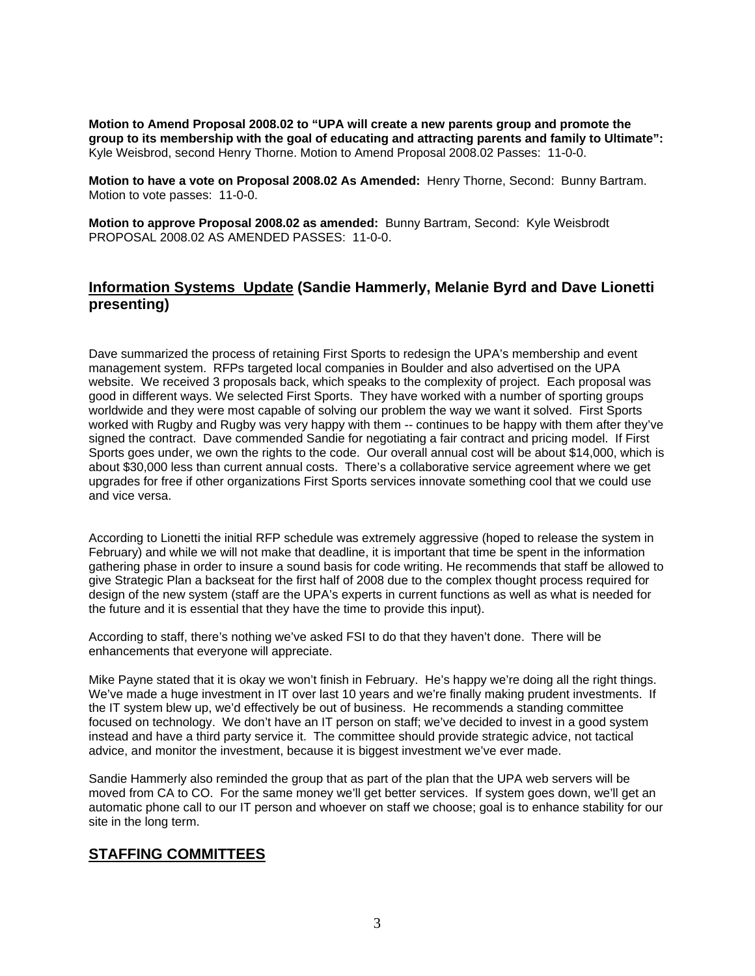**Motion to Amend Proposal 2008.02 to "UPA will create a new parents group and promote the group to its membership with the goal of educating and attracting parents and family to Ultimate":**  Kyle Weisbrod, second Henry Thorne. Motion to Amend Proposal 2008.02 Passes: 11-0-0.

**Motion to have a vote on Proposal 2008.02 As Amended:** Henry Thorne, Second: Bunny Bartram. Motion to vote passes: 11-0-0.

**Motion to approve Proposal 2008.02 as amended:** Bunny Bartram, Second: Kyle Weisbrodt PROPOSAL 2008.02 AS AMENDED PASSES: 11-0-0.

# **Information Systems Update (Sandie Hammerly, Melanie Byrd and Dave Lionetti presenting)**

Dave summarized the process of retaining First Sports to redesign the UPA's membership and event management system. RFPs targeted local companies in Boulder and also advertised on the UPA website. We received 3 proposals back, which speaks to the complexity of project. Each proposal was good in different ways. We selected First Sports. They have worked with a number of sporting groups worldwide and they were most capable of solving our problem the way we want it solved. First Sports worked with Rugby and Rugby was very happy with them -- continues to be happy with them after they've signed the contract. Dave commended Sandie for negotiating a fair contract and pricing model. If First Sports goes under, we own the rights to the code. Our overall annual cost will be about \$14,000, which is about \$30,000 less than current annual costs. There's a collaborative service agreement where we get upgrades for free if other organizations First Sports services innovate something cool that we could use and vice versa.

According to Lionetti the initial RFP schedule was extremely aggressive (hoped to release the system in February) and while we will not make that deadline, it is important that time be spent in the information gathering phase in order to insure a sound basis for code writing. He recommends that staff be allowed to give Strategic Plan a backseat for the first half of 2008 due to the complex thought process required for design of the new system (staff are the UPA's experts in current functions as well as what is needed for the future and it is essential that they have the time to provide this input).

According to staff, there's nothing we've asked FSI to do that they haven't done. There will be enhancements that everyone will appreciate.

Mike Payne stated that it is okay we won't finish in February. He's happy we're doing all the right things. We've made a huge investment in IT over last 10 years and we're finally making prudent investments. If the IT system blew up, we'd effectively be out of business. He recommends a standing committee focused on technology. We don't have an IT person on staff; we've decided to invest in a good system instead and have a third party service it. The committee should provide strategic advice, not tactical advice, and monitor the investment, because it is biggest investment we've ever made.

Sandie Hammerly also reminded the group that as part of the plan that the UPA web servers will be moved from CA to CO. For the same money we'll get better services. If system goes down, we'll get an automatic phone call to our IT person and whoever on staff we choose; goal is to enhance stability for our site in the long term.

## **STAFFING COMMITTEES**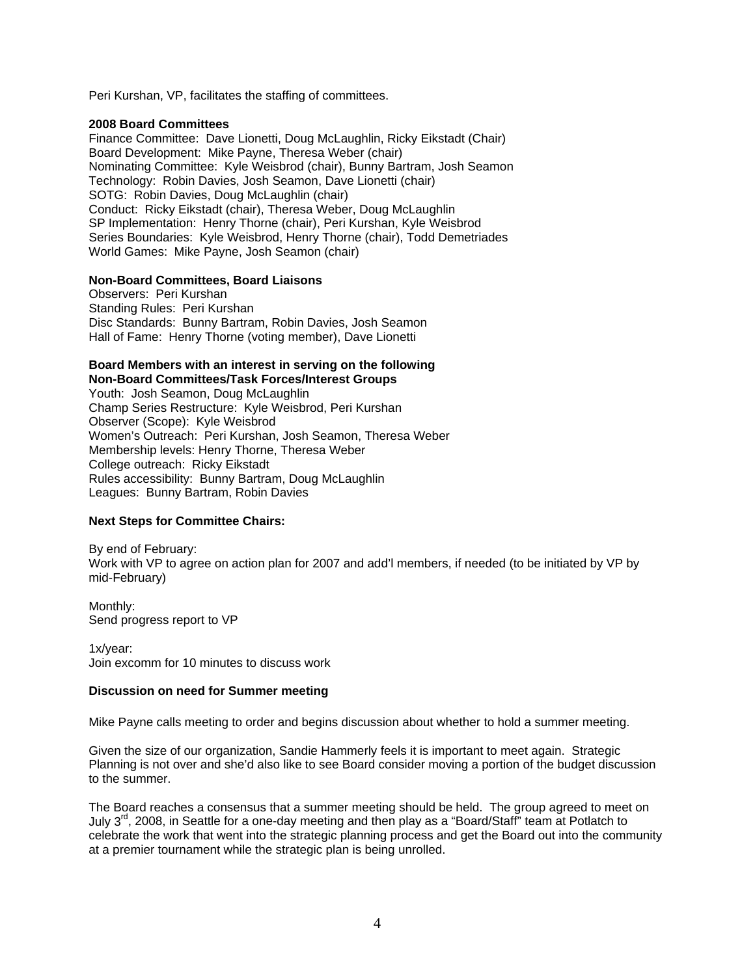Peri Kurshan, VP, facilitates the staffing of committees.

#### **2008 Board Committees**

Finance Committee: Dave Lionetti, Doug McLaughlin, Ricky Eikstadt (Chair) Board Development: Mike Payne, Theresa Weber (chair) Nominating Committee: Kyle Weisbrod (chair), Bunny Bartram, Josh Seamon Technology: Robin Davies, Josh Seamon, Dave Lionetti (chair) SOTG: Robin Davies, Doug McLaughlin (chair) Conduct: Ricky Eikstadt (chair), Theresa Weber, Doug McLaughlin SP Implementation: Henry Thorne (chair), Peri Kurshan, Kyle Weisbrod Series Boundaries: Kyle Weisbrod, Henry Thorne (chair), Todd Demetriades World Games: Mike Payne, Josh Seamon (chair)

#### **Non-Board Committees, Board Liaisons**

Observers: Peri Kurshan Standing Rules: Peri Kurshan Disc Standards: Bunny Bartram, Robin Davies, Josh Seamon Hall of Fame: Henry Thorne (voting member), Dave Lionetti

#### **Board Members with an interest in serving on the following Non-Board Committees/Task Forces/Interest Groups**

Youth: Josh Seamon, Doug McLaughlin Champ Series Restructure: Kyle Weisbrod, Peri Kurshan Observer (Scope): Kyle Weisbrod Women's Outreach: Peri Kurshan, Josh Seamon, Theresa Weber Membership levels: Henry Thorne, Theresa Weber College outreach: Ricky Eikstadt Rules accessibility: Bunny Bartram, Doug McLaughlin Leagues: Bunny Bartram, Robin Davies

### **Next Steps for Committee Chairs:**

By end of February: Work with VP to agree on action plan for 2007 and add'l members, if needed (to be initiated by VP by mid-February)

Monthly: Send progress report to VP

1x/year: Join excomm for 10 minutes to discuss work

#### **Discussion on need for Summer meeting**

Mike Payne calls meeting to order and begins discussion about whether to hold a summer meeting.

Given the size of our organization, Sandie Hammerly feels it is important to meet again. Strategic Planning is not over and she'd also like to see Board consider moving a portion of the budget discussion to the summer.

The Board reaches a consensus that a summer meeting should be held. The group agreed to meet on July  $3<sup>rd</sup>$ , 2008, in Seattle for a one-day meeting and then play as a "Board/Staff" team at Potlatch to celebrate the work that went into the strategic planning process and get the Board out into the community at a premier tournament while the strategic plan is being unrolled.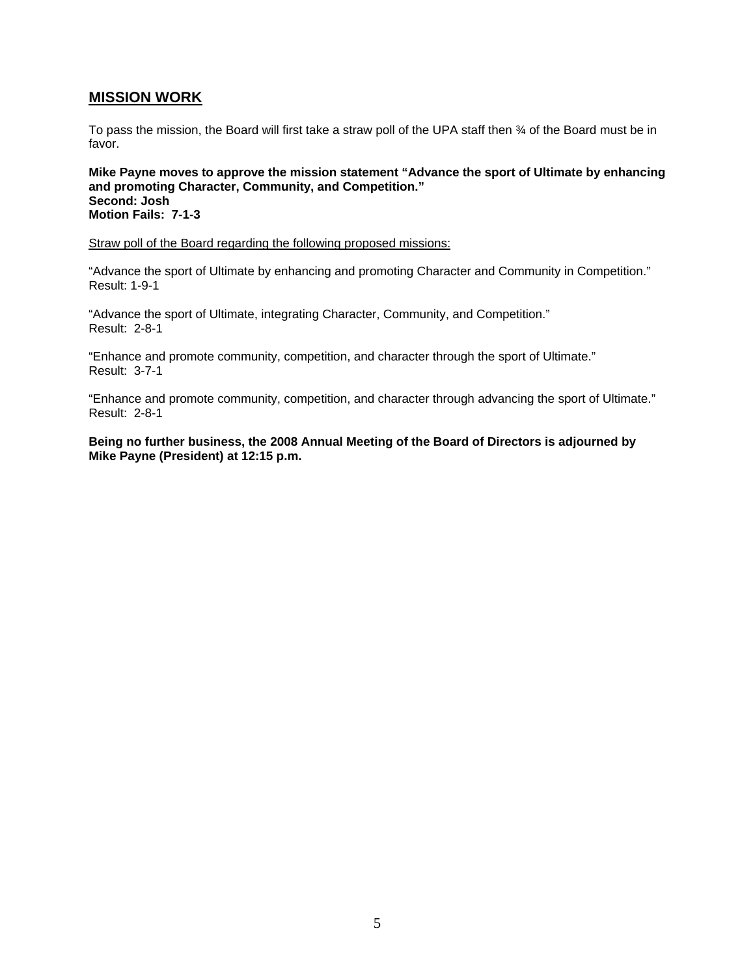## **MISSION WORK**

To pass the mission, the Board will first take a straw poll of the UPA staff then % of the Board must be in favor.

**Mike Payne moves to approve the mission statement "Advance the sport of Ultimate by enhancing and promoting Character, Community, and Competition." Second: Josh Motion Fails: 7-1-3** 

Straw poll of the Board regarding the following proposed missions:

"Advance the sport of Ultimate by enhancing and promoting Character and Community in Competition." Result: 1-9-1

"Advance the sport of Ultimate, integrating Character, Community, and Competition." Result: 2-8-1

"Enhance and promote community, competition, and character through the sport of Ultimate." Result: 3-7-1

"Enhance and promote community, competition, and character through advancing the sport of Ultimate." Result: 2-8-1

**Being no further business, the 2008 Annual Meeting of the Board of Directors is adjourned by Mike Payne (President) at 12:15 p.m.**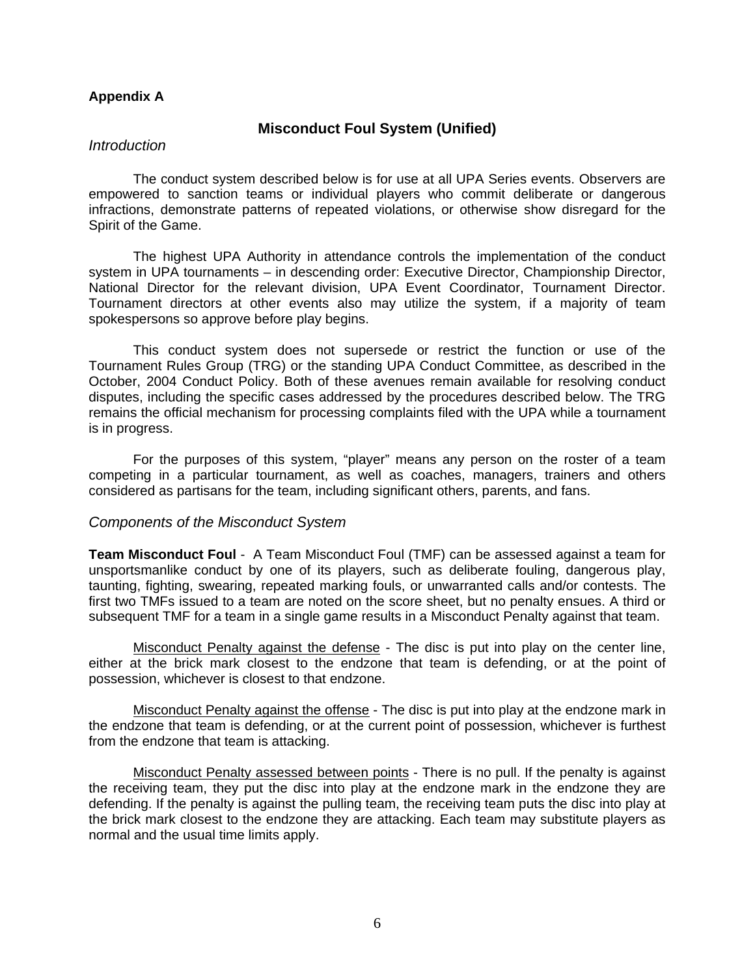## **Appendix A**

## **Misconduct Foul System (Unified)**

## *Introduction*

 The conduct system described below is for use at all UPA Series events. Observers are empowered to sanction teams or individual players who commit deliberate or dangerous infractions, demonstrate patterns of repeated violations, or otherwise show disregard for the Spirit of the Game.

 The highest UPA Authority in attendance controls the implementation of the conduct system in UPA tournaments – in descending order: Executive Director, Championship Director, National Director for the relevant division, UPA Event Coordinator, Tournament Director. Tournament directors at other events also may utilize the system, if a majority of team spokespersons so approve before play begins.

 This conduct system does not supersede or restrict the function or use of the Tournament Rules Group (TRG) or the standing UPA Conduct Committee, as described in the October, 2004 Conduct Policy. Both of these avenues remain available for resolving conduct disputes, including the specific cases addressed by the procedures described below. The TRG remains the official mechanism for processing complaints filed with the UPA while a tournament is in progress.

 For the purposes of this system, "player" means any person on the roster of a team competing in a particular tournament, as well as coaches, managers, trainers and others considered as partisans for the team, including significant others, parents, and fans.

## *Components of the Misconduct System*

**Team Misconduct Foul** - A Team Misconduct Foul (TMF) can be assessed against a team for unsportsmanlike conduct by one of its players, such as deliberate fouling, dangerous play, taunting, fighting, swearing, repeated marking fouls, or unwarranted calls and/or contests. The first two TMFs issued to a team are noted on the score sheet, but no penalty ensues. A third or subsequent TMF for a team in a single game results in a Misconduct Penalty against that team.

Misconduct Penalty against the defense - The disc is put into play on the center line, either at the brick mark closest to the endzone that team is defending, or at the point of possession, whichever is closest to that endzone.

Misconduct Penalty against the offense - The disc is put into play at the endzone mark in the endzone that team is defending, or at the current point of possession, whichever is furthest from the endzone that team is attacking.

Misconduct Penalty assessed between points - There is no pull. If the penalty is against the receiving team, they put the disc into play at the endzone mark in the endzone they are defending. If the penalty is against the pulling team, the receiving team puts the disc into play at the brick mark closest to the endzone they are attacking. Each team may substitute players as normal and the usual time limits apply.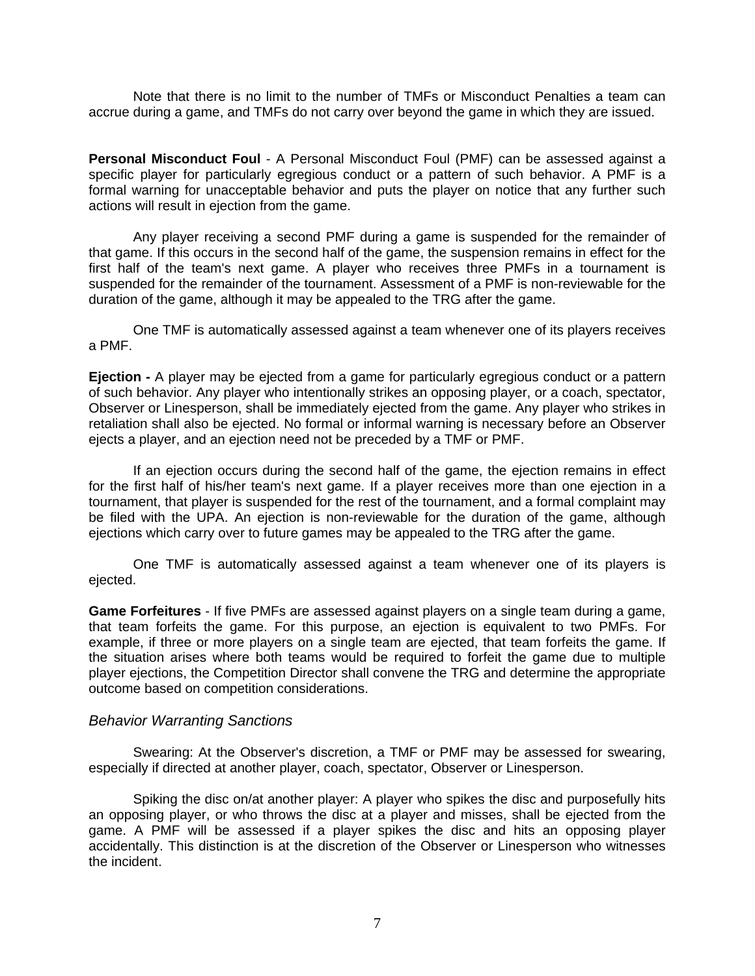Note that there is no limit to the number of TMFs or Misconduct Penalties a team can accrue during a game, and TMFs do not carry over beyond the game in which they are issued.

**Personal Misconduct Foul** - A Personal Misconduct Foul (PMF) can be assessed against a specific player for particularly egregious conduct or a pattern of such behavior. A PMF is a formal warning for unacceptable behavior and puts the player on notice that any further such actions will result in ejection from the game.

 Any player receiving a second PMF during a game is suspended for the remainder of that game. If this occurs in the second half of the game, the suspension remains in effect for the first half of the team's next game. A player who receives three PMFs in a tournament is suspended for the remainder of the tournament. Assessment of a PMF is non-reviewable for the duration of the game, although it may be appealed to the TRG after the game.

 One TMF is automatically assessed against a team whenever one of its players receives a PMF.

**Ejection -** A player may be ejected from a game for particularly egregious conduct or a pattern of such behavior. Any player who intentionally strikes an opposing player, or a coach, spectator, Observer or Linesperson, shall be immediately ejected from the game. Any player who strikes in retaliation shall also be ejected. No formal or informal warning is necessary before an Observer ejects a player, and an ejection need not be preceded by a TMF or PMF.

 If an ejection occurs during the second half of the game, the ejection remains in effect for the first half of his/her team's next game. If a player receives more than one ejection in a tournament, that player is suspended for the rest of the tournament, and a formal complaint may be filed with the UPA. An ejection is non-reviewable for the duration of the game, although ejections which carry over to future games may be appealed to the TRG after the game.

 One TMF is automatically assessed against a team whenever one of its players is ejected.

**Game Forfeitures** - If five PMFs are assessed against players on a single team during a game, that team forfeits the game. For this purpose, an ejection is equivalent to two PMFs. For example, if three or more players on a single team are ejected, that team forfeits the game. If the situation arises where both teams would be required to forfeit the game due to multiple player ejections, the Competition Director shall convene the TRG and determine the appropriate outcome based on competition considerations.

## *Behavior Warranting Sanctions*

 Swearing: At the Observer's discretion, a TMF or PMF may be assessed for swearing, especially if directed at another player, coach, spectator, Observer or Linesperson.

 Spiking the disc on/at another player: A player who spikes the disc and purposefully hits an opposing player, or who throws the disc at a player and misses, shall be ejected from the game. A PMF will be assessed if a player spikes the disc and hits an opposing player accidentally. This distinction is at the discretion of the Observer or Linesperson who witnesses the incident.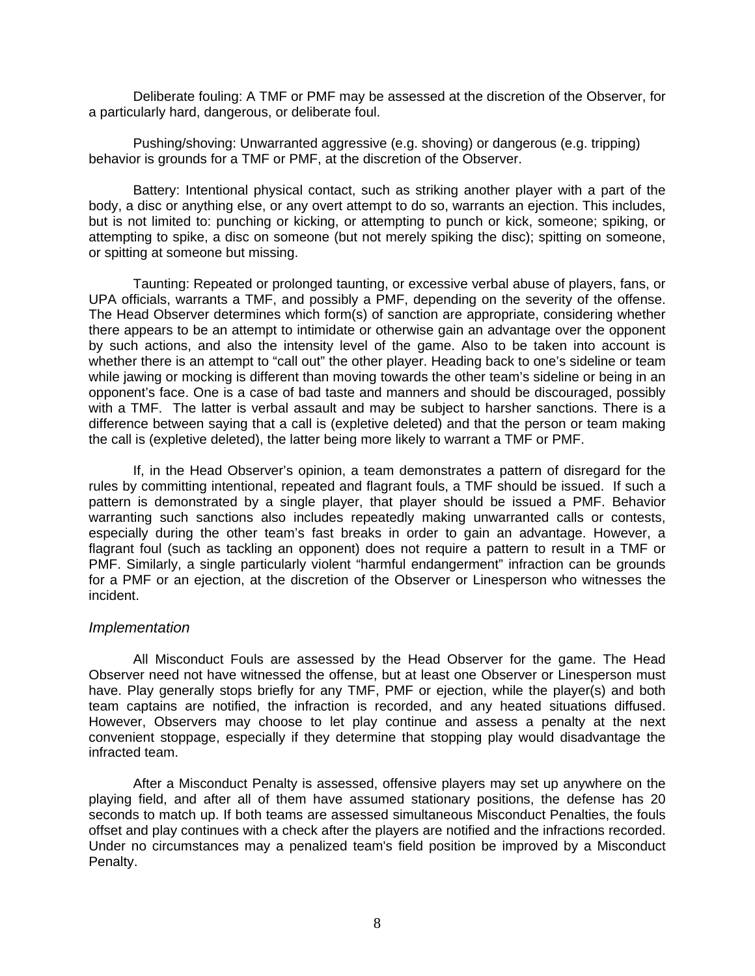Deliberate fouling: A TMF or PMF may be assessed at the discretion of the Observer, for a particularly hard, dangerous, or deliberate foul.

 Pushing/shoving: Unwarranted aggressive (e.g. shoving) or dangerous (e.g. tripping) behavior is grounds for a TMF or PMF, at the discretion of the Observer.

 Battery: Intentional physical contact, such as striking another player with a part of the body, a disc or anything else, or any overt attempt to do so, warrants an ejection. This includes, but is not limited to: punching or kicking, or attempting to punch or kick, someone; spiking, or attempting to spike, a disc on someone (but not merely spiking the disc); spitting on someone, or spitting at someone but missing.

 Taunting: Repeated or prolonged taunting, or excessive verbal abuse of players, fans, or UPA officials, warrants a TMF, and possibly a PMF, depending on the severity of the offense. The Head Observer determines which form(s) of sanction are appropriate, considering whether there appears to be an attempt to intimidate or otherwise gain an advantage over the opponent by such actions, and also the intensity level of the game. Also to be taken into account is whether there is an attempt to "call out" the other player. Heading back to one's sideline or team while jawing or mocking is different than moving towards the other team's sideline or being in an opponent's face. One is a case of bad taste and manners and should be discouraged, possibly with a TMF. The latter is verbal assault and may be subject to harsher sanctions. There is a difference between saying that a call is (expletive deleted) and that the person or team making the call is (expletive deleted), the latter being more likely to warrant a TMF or PMF.

 If, in the Head Observer's opinion, a team demonstrates a pattern of disregard for the rules by committing intentional, repeated and flagrant fouls, a TMF should be issued. If such a pattern is demonstrated by a single player, that player should be issued a PMF. Behavior warranting such sanctions also includes repeatedly making unwarranted calls or contests, especially during the other team's fast breaks in order to gain an advantage. However, a flagrant foul (such as tackling an opponent) does not require a pattern to result in a TMF or PMF. Similarly, a single particularly violent "harmful endangerment" infraction can be grounds for a PMF or an ejection, at the discretion of the Observer or Linesperson who witnesses the incident.

## *Implementation*

 All Misconduct Fouls are assessed by the Head Observer for the game. The Head Observer need not have witnessed the offense, but at least one Observer or Linesperson must have. Play generally stops briefly for any TMF, PMF or ejection, while the player(s) and both team captains are notified, the infraction is recorded, and any heated situations diffused. However, Observers may choose to let play continue and assess a penalty at the next convenient stoppage, especially if they determine that stopping play would disadvantage the infracted team.

 After a Misconduct Penalty is assessed, offensive players may set up anywhere on the playing field, and after all of them have assumed stationary positions, the defense has 20 seconds to match up. If both teams are assessed simultaneous Misconduct Penalties, the fouls offset and play continues with a check after the players are notified and the infractions recorded. Under no circumstances may a penalized team's field position be improved by a Misconduct Penalty.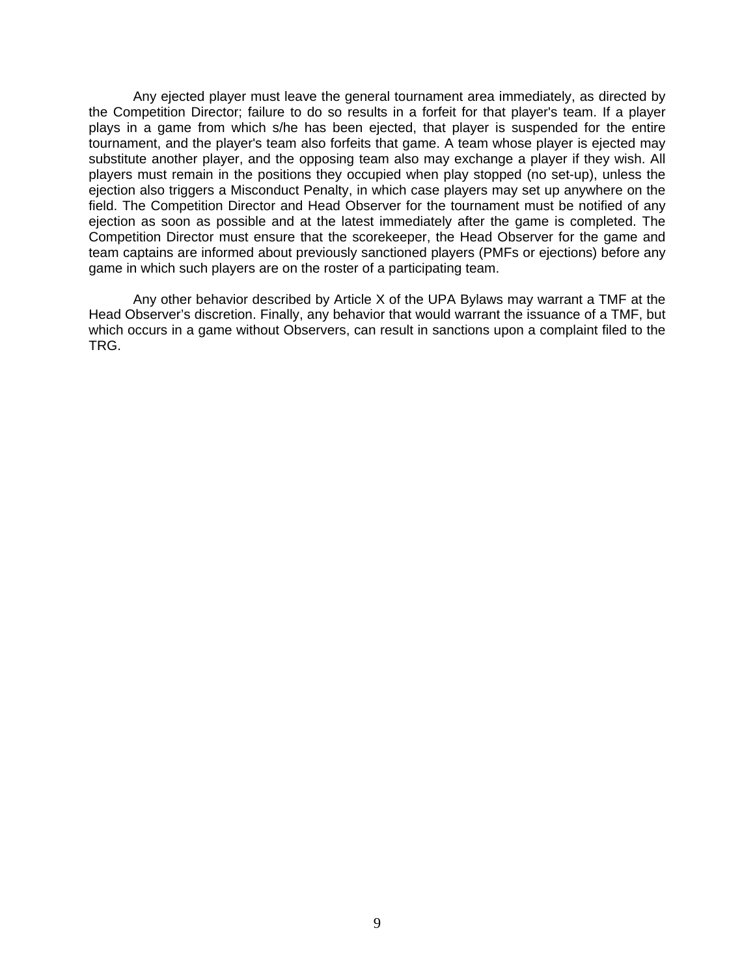Any ejected player must leave the general tournament area immediately, as directed by the Competition Director; failure to do so results in a forfeit for that player's team. If a player plays in a game from which s/he has been ejected, that player is suspended for the entire tournament, and the player's team also forfeits that game. A team whose player is ejected may substitute another player, and the opposing team also may exchange a player if they wish. All players must remain in the positions they occupied when play stopped (no set-up), unless the ejection also triggers a Misconduct Penalty, in which case players may set up anywhere on the field. The Competition Director and Head Observer for the tournament must be notified of any ejection as soon as possible and at the latest immediately after the game is completed. The Competition Director must ensure that the scorekeeper, the Head Observer for the game and team captains are informed about previously sanctioned players (PMFs or ejections) before any game in which such players are on the roster of a participating team.

 Any other behavior described by Article X of the UPA Bylaws may warrant a TMF at the Head Observer's discretion. Finally, any behavior that would warrant the issuance of a TMF, but which occurs in a game without Observers, can result in sanctions upon a complaint filed to the TRG.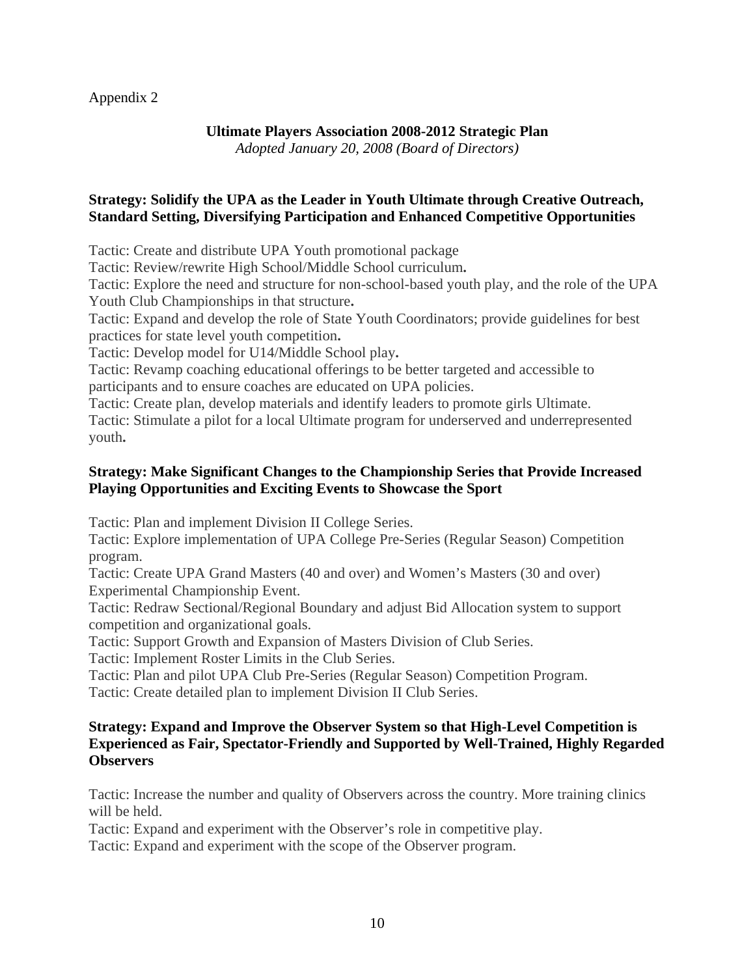## Appendix 2

# **Ultimate Players Association 2008-2012 Strategic Plan**

*Adopted January 20, 2008 (Board of Directors)* 

# **Strategy: Solidify the UPA as the Leader in Youth Ultimate through Creative Outreach, Standard Setting, Diversifying Participation and Enhanced Competitive Opportunities**

Tactic: Create and distribute UPA Youth promotional package

Tactic: Review/rewrite High School/Middle School curriculum**.** 

Tactic: Explore the need and structure for non-school-based youth play, and the role of the UPA Youth Club Championships in that structure**.** 

Tactic: Expand and develop the role of State Youth Coordinators; provide guidelines for best practices for state level youth competition**.** 

Tactic: Develop model for U14/Middle School play**.** 

Tactic: Revamp coaching educational offerings to be better targeted and accessible to participants and to ensure coaches are educated on UPA policies.

Tactic: Create plan, develop materials and identify leaders to promote girls Ultimate.

Tactic: Stimulate a pilot for a local Ultimate program for underserved and underrepresented youth**.** 

## **Strategy: Make Significant Changes to the Championship Series that Provide Increased Playing Opportunities and Exciting Events to Showcase the Sport**

Tactic: Plan and implement Division II College Series.

Tactic: Explore implementation of UPA College Pre-Series (Regular Season) Competition program.

Tactic: Create UPA Grand Masters (40 and over) and Women's Masters (30 and over) Experimental Championship Event.

Tactic: Redraw Sectional/Regional Boundary and adjust Bid Allocation system to support competition and organizational goals.

Tactic: Support Growth and Expansion of Masters Division of Club Series.

Tactic: Implement Roster Limits in the Club Series.

Tactic: Plan and pilot UPA Club Pre-Series (Regular Season) Competition Program.

Tactic: Create detailed plan to implement Division II Club Series.

## **Strategy: Expand and Improve the Observer System so that High-Level Competition is Experienced as Fair, Spectator-Friendly and Supported by Well-Trained, Highly Regarded Observers**

Tactic: Increase the number and quality of Observers across the country. More training clinics will be held.

Tactic: Expand and experiment with the Observer's role in competitive play.

Tactic: Expand and experiment with the scope of the Observer program.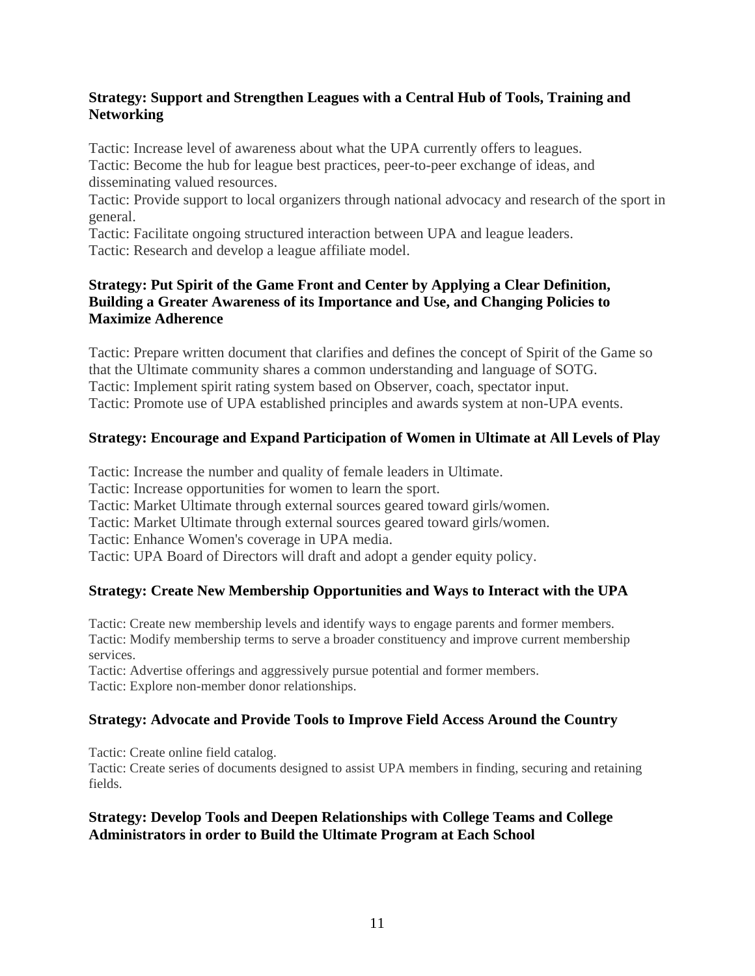# **Strategy: Support and Strengthen Leagues with a Central Hub of Tools, Training and Networking**

Tactic: Increase level of awareness about what the UPA currently offers to leagues. Tactic: Become the hub for league best practices, peer-to-peer exchange of ideas, and disseminating valued resources.

Tactic: Provide support to local organizers through national advocacy and research of the sport in general.

Tactic: Facilitate ongoing structured interaction between UPA and league leaders. Tactic: Research and develop a league affiliate model.

# **Strategy: Put Spirit of the Game Front and Center by Applying a Clear Definition, Building a Greater Awareness of its Importance and Use, and Changing Policies to Maximize Adherence**

Tactic: Prepare written document that clarifies and defines the concept of Spirit of the Game so that the Ultimate community shares a common understanding and language of SOTG. Tactic: Implement spirit rating system based on Observer, coach, spectator input. Tactic: Promote use of UPA established principles and awards system at non-UPA events.

# **Strategy: Encourage and Expand Participation of Women in Ultimate at All Levels of Play**

Tactic: Increase the number and quality of female leaders in Ultimate.

Tactic: Increase opportunities for women to learn the sport.

Tactic: Market Ultimate through external sources geared toward girls/women.

Tactic: Market Ultimate through external sources geared toward girls/women.

Tactic: Enhance Women's coverage in UPA media.

Tactic: UPA Board of Directors will draft and adopt a gender equity policy.

# **Strategy: Create New Membership Opportunities and Ways to Interact with the UPA**

Tactic: Create new membership levels and identify ways to engage parents and former members. Tactic: Modify membership terms to serve a broader constituency and improve current membership services.

Tactic: Advertise offerings and aggressively pursue potential and former members. Tactic: Explore non-member donor relationships.

# **Strategy: Advocate and Provide Tools to Improve Field Access Around the Country**

Tactic: Create online field catalog.

Tactic: Create series of documents designed to assist UPA members in finding, securing and retaining fields.

# **Strategy: Develop Tools and Deepen Relationships with College Teams and College Administrators in order to Build the Ultimate Program at Each School**